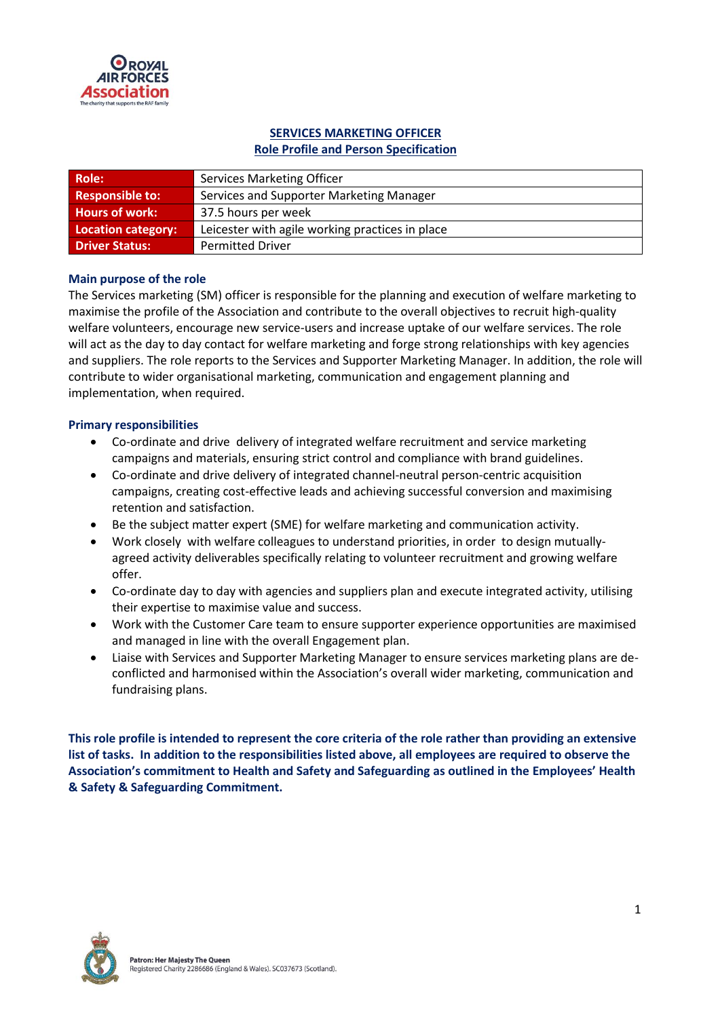

# **SERVICES MARKETING OFFICER**

## **Role Profile and Person Specification**

| <b>Role:</b>              | <b>Services Marketing Officer</b>               |
|---------------------------|-------------------------------------------------|
| <b>Responsible to:</b>    | Services and Supporter Marketing Manager        |
| <b>Hours of work:</b>     | 37.5 hours per week                             |
| <b>Location category:</b> | Leicester with agile working practices in place |
| <b>Driver Status:</b>     | <b>Permitted Driver</b>                         |

#### **Main purpose of the role**

The Services marketing (SM) officer is responsible for the planning and execution of welfare marketing to maximise the profile of the Association and contribute to the overall objectives to recruit high-quality welfare volunteers, encourage new service-users and increase uptake of our welfare services. The role will act as the day to day contact for welfare marketing and forge strong relationships with key agencies and suppliers. The role reports to the Services and Supporter Marketing Manager. In addition, the role will contribute to wider organisational marketing, communication and engagement planning and implementation, when required.

#### **Primary responsibilities**

- Co-ordinate and drive delivery of integrated welfare recruitment and service marketing campaigns and materials, ensuring strict control and compliance with brand guidelines.
- Co-ordinate and drive delivery of integrated channel-neutral person-centric acquisition campaigns, creating cost-effective leads and achieving successful conversion and maximising retention and satisfaction.
- Be the subject matter expert (SME) for welfare marketing and communication activity.
- Work closely with welfare colleagues to understand priorities, in order to design mutuallyagreed activity deliverables specifically relating to volunteer recruitment and growing welfare offer.
- Co-ordinate day to day with agencies and suppliers plan and execute integrated activity, utilising their expertise to maximise value and success.
- Work with the Customer Care team to ensure supporter experience opportunities are maximised and managed in line with the overall Engagement plan.
- Liaise with Services and Supporter Marketing Manager to ensure services marketing plans are deconflicted and harmonised within the Association's overall wider marketing, communication and fundraising plans.

**This role profile is intended to represent the core criteria of the role rather than providing an extensive list of tasks. In addition to the responsibilities listed above, all employees are required to observe the Association's commitment to Health and Safety and Safeguarding as outlined in the Employees' Health & Safety & Safeguarding Commitment.**